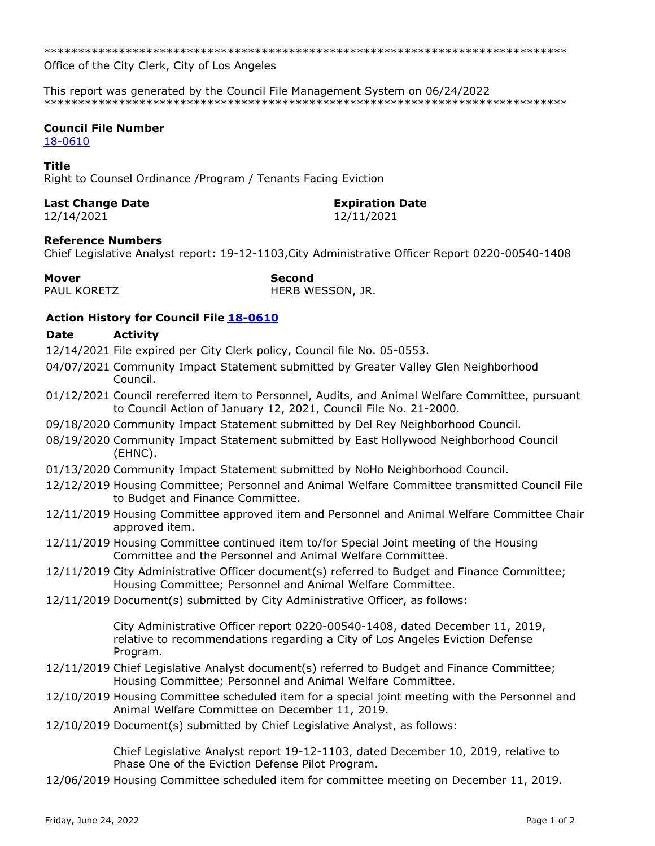\*\*\*\*\*\*\*\*\*\*\*\*\*\*\*\*\*\*\*\*\*\*\*\*\*\*\*\*\*\*\*\*\*\*\*\*\*\*\*\*\*\*\*\*\*\*\*\*\*\*\*\*\*\*\*\*\*\*\*\*\*\*\*\*\*\*\*\*\*\*\*\*\*\*\*\*\*

Office of the City Clerk, City of Los Angeles

This report was generated by the Council File Management System on 06/24/2022 \*\*\*\*\*\*\*\*\*\*\*\*\*\*\*\*\*\*\*\*\*\*\*\*\*\*\*\*\*\*\*\*\*\*\*\*\*\*\*\*\*\*\*\*\*\*\*\*\*\*\*\*\*\*\*\*\*\*\*\*\*\*\*\*\*\*\*\*\*\*\*\*\*\*\*\*\*

## **Council File Number**

[18-0610](https://cityclerk.lacity.org/lacityclerkconnect/index.cfm?fa=ccfi.viewrecord&cfnumber=18-0610)

## **Title**

Right to Counsel Ordinance /Program / Tenants Facing Eviction

# **Last Change Date Expiration Date**

12/14/2021 12/11/2021

## **Reference Numbers**

Chief Legislative Analyst report: 19-12-1103,City Administrative Officer Report 0220-00540-1408

| Mover        | <b>Second</b> |
|--------------|---------------|
| PALIL KORFTZ | <b>HFRR W</b> |

HERB WESSON, JR.

# **Action History for Council File [18-0610](https://cityclerk.lacity.org/lacityclerkconnect/index.cfm?fa=ccfi.viewrecord&cfnumber=18-0610)**

## **Date Activity**

- 12/14/2021 File expired per City Clerk policy, Council file No. 05-0553.
- 04/07/2021 Community Impact Statement submitted by Greater Valley Glen Neighborhood Council.
- 01/12/2021 Council rereferred item to Personnel, Audits, and Animal Welfare Committee, pursuant to Council Action of January 12, 2021, Council File No. 21-2000.
- 09/18/2020 Community Impact Statement submitted by Del Rey Neighborhood Council.
- 08/19/2020 Community Impact Statement submitted by East Hollywood Neighborhood Council (EHNC).
- 01/13/2020 Community Impact Statement submitted by NoHo Neighborhood Council.
- 12/12/2019 Housing Committee; Personnel and Animal Welfare Committee transmitted Council File to Budget and Finance Committee.
- 12/11/2019 Housing Committee approved item and Personnel and Animal Welfare Committee Chair approved item.
- 12/11/2019 Housing Committee continued item to/for Special Joint meeting of the Housing Committee and the Personnel and Animal Welfare Committee.
- 12/11/2019 City Administrative Officer document(s) referred to Budget and Finance Committee; Housing Committee; Personnel and Animal Welfare Committee.
- 12/11/2019 Document(s) submitted by City Administrative Officer, as follows:

City Administrative Officer report 0220-00540-1408, dated December 11, 2019, relative to recommendations regarding a City of Los Angeles Eviction Defense Program.

- 12/11/2019 Chief Legislative Analyst document(s) referred to Budget and Finance Committee; Housing Committee; Personnel and Animal Welfare Committee.
- 12/10/2019 Housing Committee scheduled item for a special joint meeting with the Personnel and Animal Welfare Committee on December 11, 2019.
- 12/10/2019 Document(s) submitted by Chief Legislative Analyst, as follows:

Chief Legislative Analyst report 19-12-1103, dated December 10, 2019, relative to Phase One of the Eviction Defense Pilot Program.

12/06/2019 Housing Committee scheduled item for committee meeting on December 11, 2019.